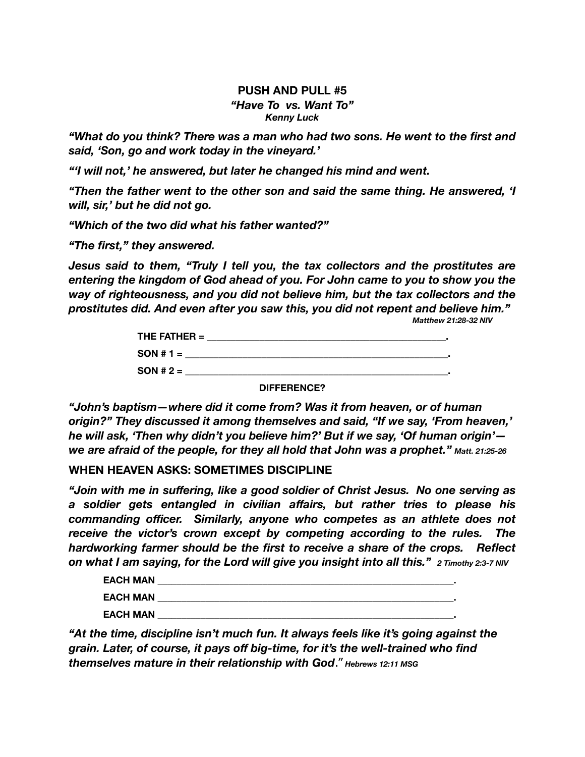## **PUSH AND PULL #5**  *"Have To vs. Want To" Kenny Luck*

*"What do you think? There was a man who had two sons. He went to the first and said, 'Son, go and work today in the vineyard.'* 

*"'I will not,' he answered, but later he changed his mind and went.* 

*"Then the father went to the other son and said the same thing. He answered, 'I will, sir,' but he did not go.* 

*"Which of the two did what his father wanted?"* 

*"The first," they answered.* 

*Jesus said to them, "Truly I tell you, the tax collectors and the prostitutes are entering the kingdom of God ahead of you. For John came to you to show you the way of righteousness, and you did not believe him, but the tax collectors and the prostitutes did. And even after you saw this, you did not repent and believe him."*

*Matthew 21:28-32 NIV* 

| THE FATHER $=$ |  |
|----------------|--|
| $SON # 1 =$    |  |
| $SON$ # 2 =    |  |

## **DIFFERENCE?**

*"John's baptism—where did it come from? Was it from heaven, or of human origin?" They discussed it among themselves and said, "If we say, 'From heaven,' he will ask, 'Then why didn't you believe him?' But if we say, 'Of human origin' we are afraid of the people, for they all hold that John was a prophet." Matt. 21:25-26* 

## **WHEN HEAVEN ASKS: SOMETIMES DISCIPLINE**

*"Join with me in suffering, like a good soldier of Christ Jesus. No one serving as a soldier gets entangled in civilian affairs, but rather tries to please his commanding officer. Similarly, anyone who competes as an athlete does not receive the victor's crown except by competing according to the rules. The hardworking farmer should be the first to receive a share of the crops. Reflect on what I am saying, for the Lord will give you insight into all this." 2 Timothy 2:3-7 NIV*

| <b>EACH MAN</b> |  |
|-----------------|--|
| <b>EACH MAN</b> |  |
| <b>EACH MAN</b> |  |

*"At the time, discipline isn't much fun. It always feels like it's going against the grain. Later, of course, it pays off big-time, for it's the well-trained who find themselves mature in their relationship with God*." *Hebrews 12:11 MSG*